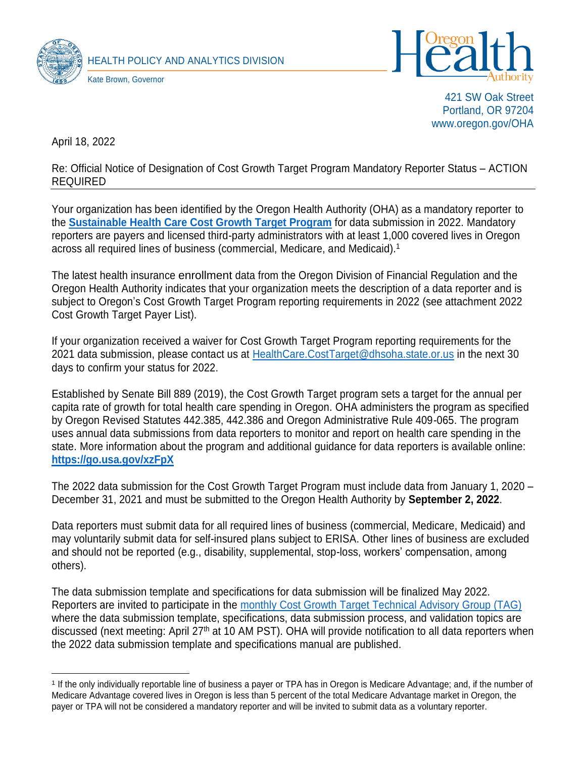



421 SW Oak Street Portland, OR 97204 www.oregon.gov/OHA

April 18, 2022

Re: Official Notice of Designation of Cost Growth Target Program Mandatory Reporter Status – ACTION REQUIRED

Your organization has been identified by the Oregon Health Authority (OHA) as a mandatory reporter to the **[Sustainable Health Care Cost Growth Target](https://www.oregon.gov/oha/HPA/HP/Pages/Sustainable-Health-Care-Cost-Growth-Target.aspx) Program** for data submission in 2022. Mandatory reporters are payers and licensed third-party administrators with at least 1,000 covered lives in Oregon across all required lines of business (commercial, Medicare, and Medicaid). 1

The latest health insurance enrollment data from the Oregon Division of Financial Regulation and the Oregon Health Authority indicates that your organization meets the description of a data reporter and is subject to Oregon's Cost Growth Target Program reporting requirements in 2022 (see attachment 2022 Cost Growth Target Payer List).

If your organization received a waiver for Cost Growth Target Program reporting requirements for the 2021 data submission, please contact us at [HealthCare.CostTarget@dhsoha.state.or.us](mailto:HealthCare.CostTarget@dhsoha.state.or.us) in the next 30 days to confirm your status for 2022.

Established by Senate Bill 889 (2019), the Cost Growth Target program sets a target for the annual per capita rate of growth for total health care spending in Oregon. OHA administers the program as specified by Oregon Revised Statutes 442.385, 442.386 and Oregon Administrative Rule 409-065. The program uses annual data submissions from data reporters to monitor and report on health care spending in the state. More information about the program and additional guidance for data reporters is available online: **<https://go.usa.gov/xzFpX>**

The 2022 data submission for the Cost Growth Target Program must include data from January 1, 2020 – December 31, 2021 and must be submitted to the Oregon Health Authority by **September 2, 2022**.

Data reporters must submit data for all required lines of business (commercial, Medicare, Medicaid) and may voluntarily submit data for self-insured plans subject to ERISA. Other lines of business are excluded and should not be reported (e.g., disability, supplemental, stop-loss, workers' compensation, among others).

The data submission template and specifications for data submission will be finalized May 2022. Reporters are invited to participate in the monthly [Cost Growth Target Technical Advisory](https://www.oregon.gov/oha/HPA/HP/Pages/cost-growth-target-tag.aspx) Group (TAG) where the data submission template, specifications, data submission process, and validation topics are discussed (next meeting: April 27<sup>th</sup> at 10 AM PST). OHA will provide notification to all data reporters when the 2022 data submission template and specifications manual are published.

<sup>1</sup> If the only individually reportable line of business a payer or TPA has in Oregon is Medicare Advantage; and, if the number of Medicare Advantage covered lives in Oregon is less than 5 percent of the total Medicare Advantage market in Oregon, the payer or TPA will not be considered a mandatory reporter and will be invited to submit data as a voluntary reporter.